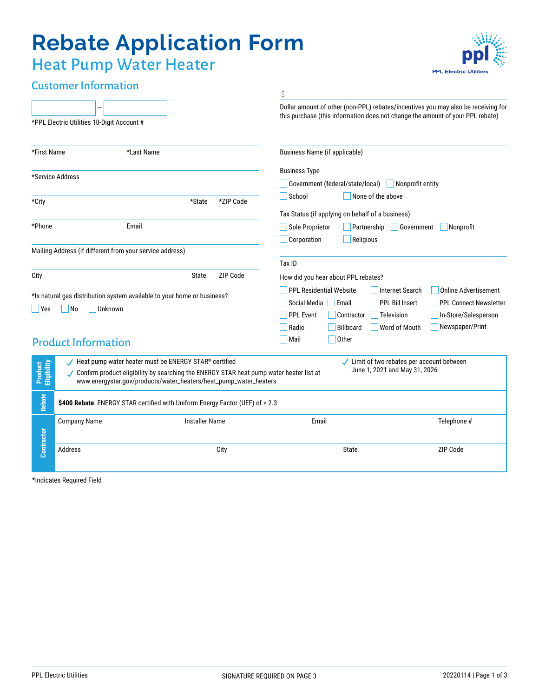# **Rebate Application Form**

**PPL Electric Utiliti** 

## Heat Pump Water Heater

| <b>Customer Information</b>                                                                                   |                                                                                                                                                                                                                                                                                                        |      | \$                                                                                                                                                                                                                                                 |  |  |  |  |  |  |  |
|---------------------------------------------------------------------------------------------------------------|--------------------------------------------------------------------------------------------------------------------------------------------------------------------------------------------------------------------------------------------------------------------------------------------------------|------|----------------------------------------------------------------------------------------------------------------------------------------------------------------------------------------------------------------------------------------------------|--|--|--|--|--|--|--|
|                                                                                                               | *PPL Electric Utilities 10-Digit Account #                                                                                                                                                                                                                                                             |      | Dollar amount of other (non-PPL) rebates/incentives you may also be receiving for<br>this purchase (this information does not change the amount of your PPL rebate)                                                                                |  |  |  |  |  |  |  |
| *First Name                                                                                                   | *Last Name                                                                                                                                                                                                                                                                                             |      | Business Name (if applicable)                                                                                                                                                                                                                      |  |  |  |  |  |  |  |
| *Service Address                                                                                              |                                                                                                                                                                                                                                                                                                        |      | <b>Business Type</b><br>Government (federal/state/local)<br>Nonprofit entity<br>School<br>None of the above                                                                                                                                        |  |  |  |  |  |  |  |
| *State<br>*ZIP Code<br>*City                                                                                  |                                                                                                                                                                                                                                                                                                        |      |                                                                                                                                                                                                                                                    |  |  |  |  |  |  |  |
| *Phone<br>Email                                                                                               |                                                                                                                                                                                                                                                                                                        |      | Tax Status (if applying on behalf of a business)<br>Sole Proprietor<br>Partnership<br>Government<br>Nonprofit<br>Corporation<br>Religious                                                                                                          |  |  |  |  |  |  |  |
| Mailing Address (if different from your service address)                                                      |                                                                                                                                                                                                                                                                                                        |      | Tax ID                                                                                                                                                                                                                                             |  |  |  |  |  |  |  |
| ZIP Code<br>State<br>City                                                                                     |                                                                                                                                                                                                                                                                                                        |      | How did you hear about PPL rebates?                                                                                                                                                                                                                |  |  |  |  |  |  |  |
| *Is natural gas distribution system available to your home or business?<br>N <sub>o</sub><br>Unknown<br>  Yes |                                                                                                                                                                                                                                                                                                        |      | <b>PPL Residential Website</b><br><b>Internet Search</b><br><b>Online Advertisement</b><br><b>PPL Bill Insert</b><br>Social Media   Email<br><b>PPL Connect Newsletter</b><br><b>PPL Event</b><br>Television<br>In-Store/Salesperson<br>Contractor |  |  |  |  |  |  |  |
|                                                                                                               | <b>Product Information</b>                                                                                                                                                                                                                                                                             |      | Newspaper/Print<br>Radio<br><b>Billboard</b><br>Word of Mouth<br>Other<br>Mail                                                                                                                                                                     |  |  |  |  |  |  |  |
| Product<br>Eligibility                                                                                        | Heat pump water heater must be ENERGY STAR® certified<br>✔ Limit of two rebates per account between<br>June 1, 2021 and May 31, 2026<br>✓ Confirm product eligibility by searching the ENERGY STAR heat pump water heater list at<br>www.energystar.gov/products/water_heaters/heat_pump_water_heaters |      |                                                                                                                                                                                                                                                    |  |  |  |  |  |  |  |
| <b>Rebate</b>                                                                                                 | \$400 Rebate: ENERGY STAR certified with Uniform Energy Factor (UEF) of ≥ 2.3                                                                                                                                                                                                                          |      |                                                                                                                                                                                                                                                    |  |  |  |  |  |  |  |
|                                                                                                               | <b>Installer Name</b><br><b>Company Name</b>                                                                                                                                                                                                                                                           |      | Email<br>Telephone #                                                                                                                                                                                                                               |  |  |  |  |  |  |  |
| Contractor                                                                                                    | Address                                                                                                                                                                                                                                                                                                | City | ZIP Code<br>State                                                                                                                                                                                                                                  |  |  |  |  |  |  |  |

\*Indicates Required Field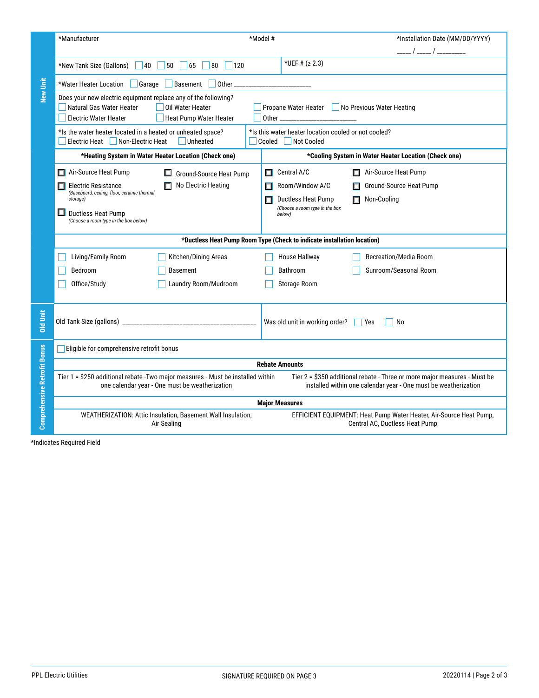|                             | *Manufacturer                                                                                                                                                                                                              |  | *Model #                                                                  |                                                                                                                                              |                                                    |                                                      | *Installation Date (MM/DD/YYYY)<br>_____ / _____ / _________ |  |  |
|-----------------------------|----------------------------------------------------------------------------------------------------------------------------------------------------------------------------------------------------------------------------|--|---------------------------------------------------------------------------|----------------------------------------------------------------------------------------------------------------------------------------------|----------------------------------------------------|------------------------------------------------------|--------------------------------------------------------------|--|--|
|                             | *New Tank Size (Gallons)<br>$\vert$ 40<br>50<br>65<br>$ 80\rangle$<br>120                                                                                                                                                  |  |                                                                           | *UEF # $( \ge 2.3)$                                                                                                                          |                                                    |                                                      |                                                              |  |  |
| New Unit                    | *Water Heater Location Garage<br>Basement<br>Other_<br><u> 1986 - Johann Harry Barbara, martin a</u>                                                                                                                       |  |                                                                           |                                                                                                                                              |                                                    |                                                      |                                                              |  |  |
|                             | Does your new electric equipment replace any of the following?<br>Natural Gas Water Heater<br>Oil Water Heater<br>Propane Water Heater No Previous Water Heating<br><b>Electric Water Heater</b><br>Heat Pump Water Heater |  |                                                                           |                                                                                                                                              |                                                    |                                                      |                                                              |  |  |
|                             | *Is the water heater located in a heated or unheated space?<br>Electric Heat Non-Electric Heat<br><b>Unheated</b>                                                                                                          |  | *Is this water heater location cooled or not cooled?<br>Cooled Not Cooled |                                                                                                                                              |                                                    |                                                      |                                                              |  |  |
|                             | *Heating System in Water Heater Location (Check one)                                                                                                                                                                       |  |                                                                           |                                                                                                                                              |                                                    | *Cooling System in Water Heater Location (Check one) |                                                              |  |  |
|                             | Air-Source Heat Pump<br>Ground-Source Heat Pump                                                                                                                                                                            |  | □                                                                         | Central A/C                                                                                                                                  | Air-Source Heat Pump                               |                                                      |                                                              |  |  |
|                             | $\Box$ No Electric Heating<br>$\Box$ Electric Resistance<br>(Baseboard, ceiling, floor, ceramic thermal<br>storage)<br>$\Box$<br>Ductless Heat Pump<br>(Choose a room type in the box below)                               |  |                                                                           | Room/Window A/C<br>Ductless Heat Pump                                                                                                        | Ground-Source Heat Pump<br>П<br>$\Box$ Non-Cooling |                                                      |                                                              |  |  |
|                             |                                                                                                                                                                                                                            |  |                                                                           | $\Box$<br>(Choose a room type in the box<br>below)                                                                                           |                                                    |                                                      |                                                              |  |  |
|                             |                                                                                                                                                                                                                            |  |                                                                           | *Ductless Heat Pump Room Type (Check to indicate installation location)                                                                      |                                                    |                                                      |                                                              |  |  |
|                             | Living/Family Room<br>Kitchen/Dining Areas                                                                                                                                                                                 |  |                                                                           | House Hallway                                                                                                                                |                                                    | Recreation/Media Room                                |                                                              |  |  |
|                             | Bedroom<br>Basement                                                                                                                                                                                                        |  |                                                                           | Bathroom                                                                                                                                     | Sunroom/Seasonal Room                              |                                                      |                                                              |  |  |
|                             | Office/Study<br>Laundry Room/Mudroom                                                                                                                                                                                       |  |                                                                           | Storage Room                                                                                                                                 |                                                    |                                                      |                                                              |  |  |
| <b>Old Unit</b>             |                                                                                                                                                                                                                            |  |                                                                           | Was old unit in working order? These                                                                                                         |                                                    | No                                                   |                                                              |  |  |
|                             | Eligible for comprehensive retrofit bonus                                                                                                                                                                                  |  |                                                                           |                                                                                                                                              |                                                    |                                                      |                                                              |  |  |
| omprehensive Retrofit Bonus | <b>Rebate Amounts</b>                                                                                                                                                                                                      |  |                                                                           |                                                                                                                                              |                                                    |                                                      |                                                              |  |  |
|                             | Tier 1 = \$250 additional rebate - Two major measures - Must be installed within<br>one calendar year - One must be weatherization                                                                                         |  |                                                                           | Tier 2 = \$350 additional rebate - Three or more major measures - Must be<br>installed within one calendar year - One must be weatherization |                                                    |                                                      |                                                              |  |  |
|                             | <b>Major Measures</b>                                                                                                                                                                                                      |  |                                                                           |                                                                                                                                              |                                                    |                                                      |                                                              |  |  |
| - ပ                         | WEATHERIZATION: Attic Insulation, Basement Wall Insulation,<br>Air Sealing                                                                                                                                                 |  |                                                                           | EFFICIENT EQUIPMENT: Heat Pump Water Heater, Air-Source Heat Pump,<br>Central AC, Ductless Heat Pump                                         |                                                    |                                                      |                                                              |  |  |
|                             | *Indicates Required Field                                                                                                                                                                                                  |  |                                                                           |                                                                                                                                              |                                                    |                                                      |                                                              |  |  |
|                             | <b>PPL Electric Utilities</b>                                                                                                                                                                                              |  |                                                                           | SIGNATURE REQUIRED ON PAGE 3                                                                                                                 |                                                    |                                                      | 20220114   Page 2 of 3                                       |  |  |